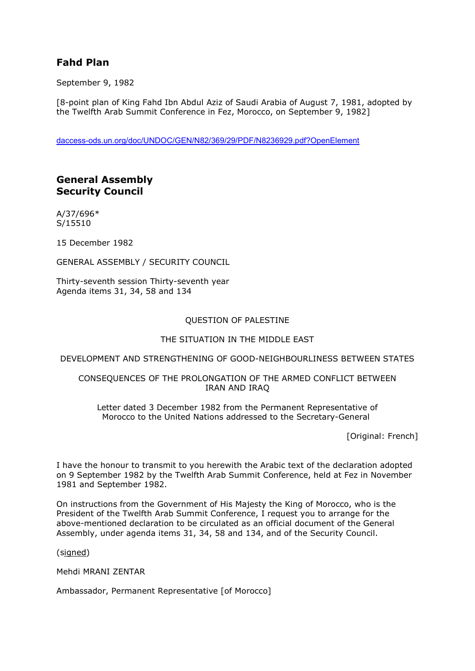# **Fahd Plan**

September 9, 1982

[8-point plan of King Fahd Ibn Abdul Aziz of Saudi Arabia of August 7, 1981, adopted by the Twelfth Arab Summit Conference in Fez, Morocco, on September 9, 1982]

daccess-ods.un.org/doc/UNDOC/GEN/N82/369/29/PDF/N8236929.pdf?OpenElement

# **General Assembly Security Council**

A/37/696\* S/15510

15 December 1982

GENERAL ASSEMBLY / SECURITY COUNCIL

Thirty-seventh session Thirty-seventh year Agenda items 31, 34, 58 and 134

## QUESTION OF PALESTINE

# THE SITUATION IN THE MIDDLE EAST

#### DEVELOPMENT AND STRENGTHENING OF GOOD-NEIGHBOURLINESS BETWEEN STATES

## CONSEQUENCES OF THE PROLONGATION OF THE ARMED CONFLICT BETWEEN IRAN AND IRAQ

#### Letter dated 3 December 1982 from the Permanent Representative of Morocco to the United Nations addressed to the Secretary-General

[Original: French]

I have the honour to transmit to you herewith the Arabic text of the declaration adopted on 9 September 1982 by the Twelfth Arab Summit Conference, held at Fez in November 1981 and September 1982.

On instructions from the Government of His Majesty the King of Morocco, who is the President of the Twelfth Arab Summit Conference, I request you to arrange for the above-mentioned declaration to be circulated as an official document of the General Assembly, under agenda items 31, 34, 58 and 134, and of the Security Council.

(signed)

Mehdi MRANI ZENTAR

Ambassador, Permanent Representative [of Morocco]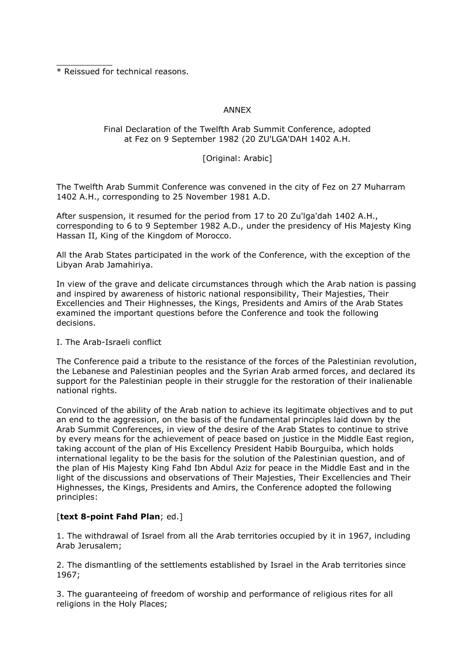\_\_\_\_\_\_\_\_\_\_\_ \* Reissued for technical reasons.

#### ANNEX

#### Final Declaration of the Twelfth Arab Summit Conference, adopted at Fez on 9 September 1982 (20 ZU'LGA'DAH 1402 A.H.

# [Original: Arabic]

The Twelfth Arab Summit Conference was convened in the city of Fez on 27 Muharram 1402 A.H., corresponding to 25 November 1981 A.D.

After suspension, it resumed for the period from 17 to 20 Zu'lga'dah 1402 A.H., corresponding to 6 to 9 September 1982 A.D., under the presidency of His Majesty King Hassan II, King of the Kingdom of Morocco.

All the Arab States participated in the work of the Conference, with the exception of the Libyan Arab Jamahiriya.

In view of the grave and delicate circumstances through which the Arab nation is passing and inspired by awareness of historic national responsibility, Their Majesties, Their Excellencies and Their Highnesses, the Kings, Presidents and Amirs of the Arab States examined the important questions before the Conference and took the following decisions.

#### I. The Arab-Israeli conflict

The Conference paid a tribute to the resistance of the forces of the Palestinian revolution, the Lebanese and Palestinian peoples and the Syrian Arab armed forces, and declared its support for the Palestinian people in their struggle for the restoration of their inalienable national rights.

Convinced of the ability of the Arab nation to achieve its legitimate objectives and to put an end to the aggression, on the basis of the fundamental principles laid down by the Arab Summit Conferences, in view of the desire of the Arab States to continue to strive by every means for the achievement of peace based on justice in the Middle East region, taking account of the plan of His Excellency President Habib Bourguiba, which holds international legality to be the basis for the solution of the Palestinian question, and of the plan of His Majesty King Fahd Ibn Abdul Aziz for peace in the Middle East and in the light of the discussions and observations of Their Majesties, Their Excellencies and Their Highnesses, the Kings, Presidents and Amirs, the Conference adopted the following principles:

#### [**text 8-point Fahd Plan**; ed.]

1. The withdrawal of Israel from all the Arab territories occupied by it in 1967, including Arab Jerusalem;

2. The dismantling of the settlements established by Israel in the Arab territories since 1967;

3. The guaranteeing of freedom of worship and performance of religious rites for all religions in the Holy Places;